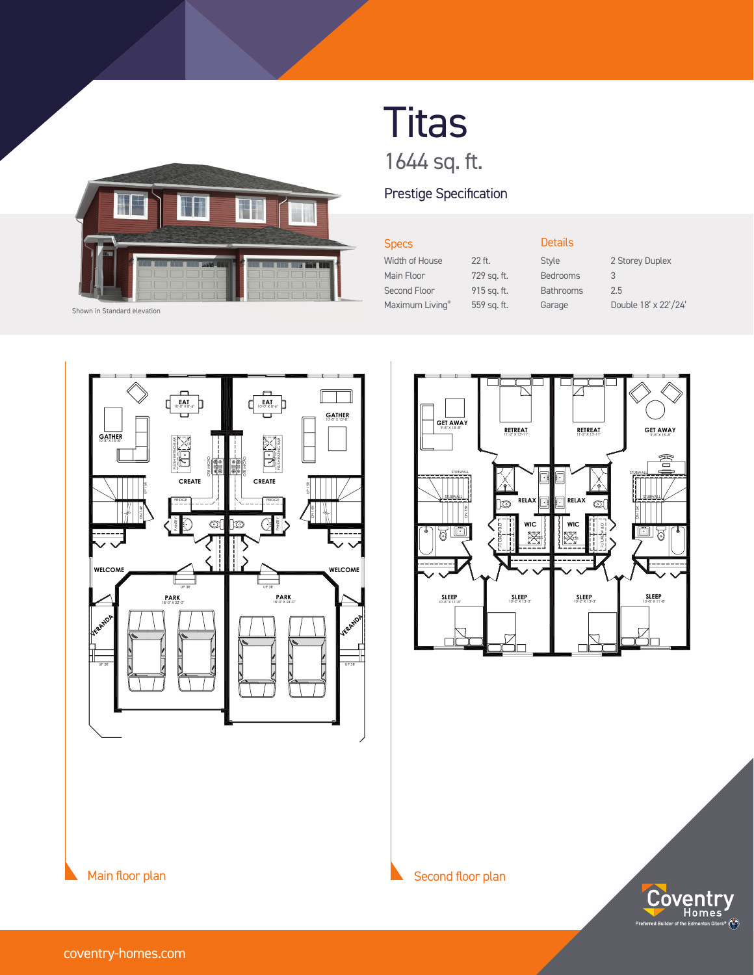

Shown in Standard elevation

## **Titas** 1644 sq. ft.

## Prestige Specification

 $22$  ft. 729 sq. ft. 915 sq. ft. 559 sq. ft.

| <b>Specs</b>    |
|-----------------|
| Width of House  |
| Main Floor      |
| Second Floor    |
| Maximum Living® |

Details Bedrooms 3

Style 2 Storey Duplex Bathrooms 2.5 Garage Double 18' x 22'/24'